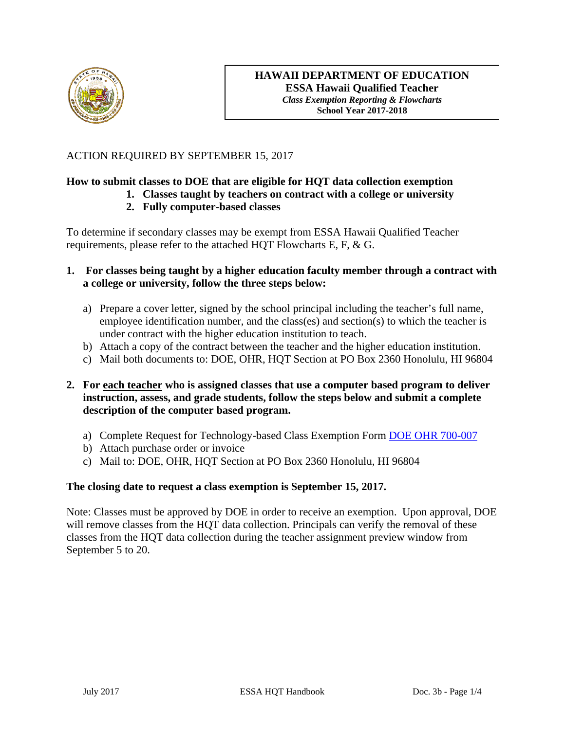

## ACTION REQUIRED BY SEPTEMBER 15, 2017

# **How to submit classes to DOE that are eligible for HQT data collection exemption**

**1. Classes taught by teachers on contract with a college or university** 

## **2. Fully computer-based classes**

To determine if secondary classes may be exempt from ESSA Hawaii Qualified Teacher requirements, please refer to the attached HQT Flowcharts E, F, & G.

- **1. For classes being taught by a higher education faculty member through a contract with a college or university, follow the three steps below:** 
	- a) Prepare a cover letter, signed by the school principal including the teacher's full name, employee identification number, and the class(es) and section(s) to which the teacher is under contract with the higher education institution to teach.
	- b) Attach a copy of the contract between the teacher and the higher education institution.
	- c) Mail both documents to: DOE, OHR, HQT Section at PO Box 2360 Honolulu, HI 96804

## **2. For each teacher who is assigned classes that use a computer based program to deliver instruction, assess, and grade students, follow the steps below and submit a complete description of the computer based program.**

- a) Complete Request for Technology-based Class Exemption Form DOE OHR 700-007
- b) Attach purchase order or invoice
- c) Mail to: DOE, OHR, HQT Section at PO Box 2360 Honolulu, HI 96804

## **The closing date to request a class exemption is September 15, 2017.**

Note: Classes must be approved by DOE in order to receive an exemption. Upon approval, DOE will remove classes from the HOT data collection. Principals can verify the removal of these classes from the HQT data collection during the teacher assignment preview window from September 5 to 20.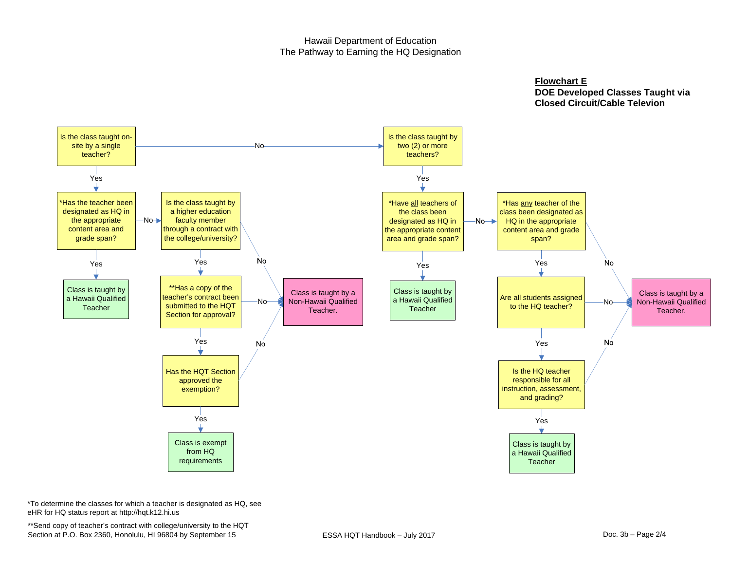#### Hawaii Department of Education The Pathway to Earning the HQ Designation

**Flowchart E**

 **DOE Developed Classes Taught via Closed Circuit/Cable Televion**



\*To determine the classes for which a teacher is designated as HQ, see eHR for HQ status report at http://hqt.k12.hi.us

\*\*Send copy of teacher's contract with college/university to the HQT Section at P.O. Box 2360, Honolulu, HI 96804 by September 15 ESSA HQT Handbook - July 2017 Doc. 3b - Page 2/4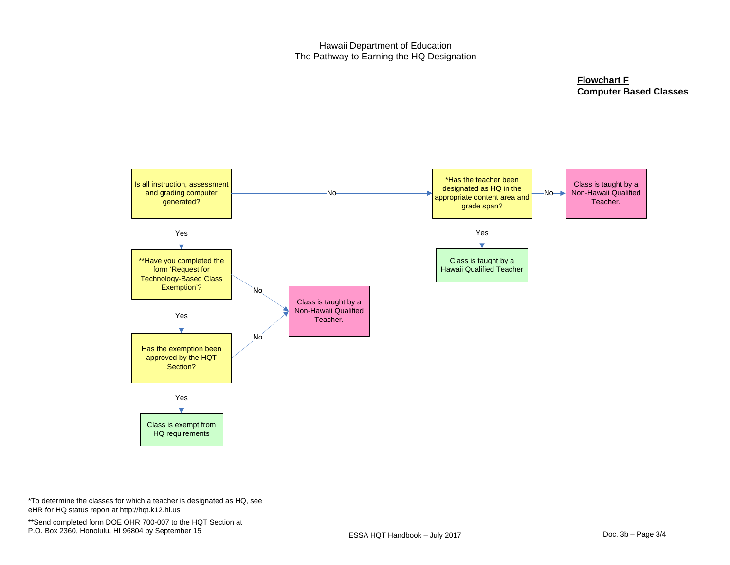#### Hawaii Department of Education The Pathway to Earning the HQ Designation

**Flowchart F Computer Based Classes**



\*To determine the classes for which a teacher is designated as HQ, see eHR for HQ status report at http://hqt.k12.hi.us

\*\*Send completed form DOE OHR 700-007 to the HQT Section at P.O. Box 2360, Honolulu, HI 96804 by September 15 **ESSA HOT Handbook** – July 2017